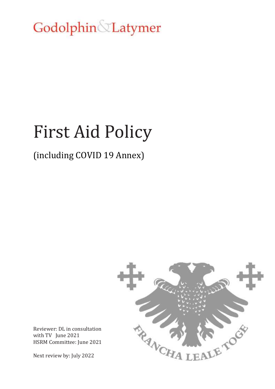Godolphin Latymer

# First Aid Policy

# (including COVID 19 Annex)



Reviewer: DL in consultation with TV June 2021 HSRM Committee: June 2021

Next review by: July 2022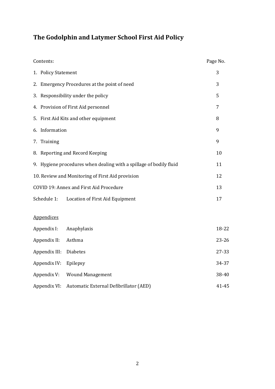# **The Godolphin and Latymer School First Aid Policy**

| Contents:                                                          |                                        | Page No. |
|--------------------------------------------------------------------|----------------------------------------|----------|
| 1. Policy Statement                                                | 3                                      |          |
| 2. Emergency Procedures at the point of need                       | 3                                      |          |
| 3. Responsibility under the policy                                 |                                        |          |
| 4. Provision of First Aid personnel                                |                                        |          |
|                                                                    | 5. First Aid Kits and other equipment  | 8        |
| 6. Information                                                     |                                        |          |
| 7. Training                                                        |                                        | 9        |
| 8. Reporting and Record Keeping                                    | 10                                     |          |
| 9. Hygiene procedures when dealing with a spillage of bodily fluid | 11                                     |          |
| 10. Review and Monitoring of First Aid provision                   |                                        | 12       |
| COVID 19: Annex and First Aid Procedure                            |                                        | 13       |
| Schedule 1:                                                        | Location of First Aid Equipment        | 17       |
| <b>Appendices</b>                                                  |                                        |          |
| Appendix I:                                                        | Anaphylaxis                            | 18-22    |
| Appendix II:                                                       | Asthma                                 | 23-26    |
| Appendix III:                                                      | Diabetes                               | 27-33    |
| Appendix IV:                                                       | Epilepsy                               | 34-37    |
| Appendix V:                                                        | <b>Wound Management</b>                | 38-40    |
| Appendix VI:                                                       | Automatic External Defibrillator (AED) | 41-45    |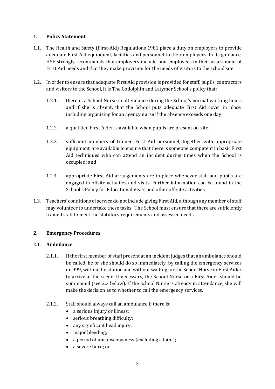# **1. Policy Statement**

- 1.1. The Health and Safety (First-Aid) Regulations 1981 place a duty on employers to provide adequate First Aid equipment, facilities and personnel to their employees. In its guidance, HSE strongly recommends that employers include non-employees in their assessment of First Aid needs and that they make provision for the needs of visitors to the school site.
- 1.2. In order to ensure that adequate First Aid provision is provided for staff, pupils, contractors and visitors to the School, it is The Godolphin and Latymer School's policy that:
	- 1.2.1. there is a School Nurse in attendance during the School's normal working hours and if she is absent, that the School puts adequate First Aid cover in place, including organising for an agency nurse if the absence exceeds one day;
	- 1.2.2. a qualified First Aider is available when pupils are present on-site;
	- 1.2.3. sufficient numbers of trained First Aid personnel, together with appropriate equipment, are available to ensure that there is someone competent in basic First Aid techniques who can attend an incident during times when the School is occupied; and
	- 1.2.4. appropriate First Aid arrangements are in place whenever staff and pupils are engaged in offsite activities and visits. Further information can be found in the School's Policy for Educational Visits and other off-site activities.
- 1.3. Teachers' conditions of service do not include giving First Aid, although any member of staff may volunteer to undertake these tasks. The School must ensure that there are sufficiently trained staff to meet the statutory requirements and assessed needs.

# **2. Emergency Procedures**

# 2.1. **Ambulance**

- 2.1.1. If the first member of staff present at an incident judges that an ambulance should be called, he or she should do so immediately, by calling the emergency services on 999, without hesitation and without waiting for the School Nurse or First Aider to arrive at the scene. If necessary, the School Nurse or a First Aider should be summoned (see 2.3 below). If the School Nurse is already in attendance, she will make the decision as to whether to call the emergency services.
- 2.1.2. Staff should always call an ambulance if there is:
	- a serious injury or illness;
	- serious breathing difficulty;
	- any significant head injury;
	- major bleeding;
	- a period of unconsciousness (excluding a faint);
	- a severe burn; or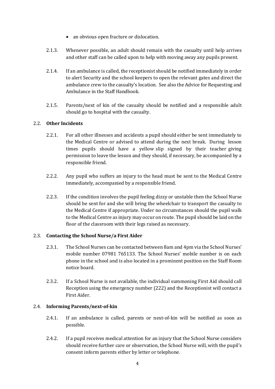- an obvious open fracture or dislocation.
- 2.1.3. Whenever possible, an adult should remain with the casualty until help arrives and other staff can be called upon to help with moving away any pupils present.
- 2.1.4. If an ambulance is called, the receptionist should be notified immediately in order to alert Security and the school keepers to open the relevant gates and direct the ambulance crew to the casualty's location. See also the Advice for Requesting and Ambulance in the Staff Handbook.
- 2.1.5. Parents/next of kin of the casualty should be notified and a responsible adult should go to hospital with the casualty.

# 2.2. **Other Incidents**

- 2.2.1. For all other illnesses and accidents a pupil should either be sent immediately to the Medical Centre or advised to attend during the next break. During lesson times pupils should have a yellow slip signed by their teacher giving permission to leave the lesson and they should, if necessary, be accompanied by a responsible friend.
- 2.2.2. Any pupil who suffers an injury to the head must be sent to the Medical Centre immediately, accompanied by a responsible friend.
- 2.2.3. If the condition involves the pupil feeling dizzy or unstable then the School Nurse should be sent for and she will bring the wheelchair to transport the casualty to the Medical Centre if appropriate. Under no circumstances should the pupil walk to the Medical Centre as injury may occur on route. The pupil should be laid on the floor of the classroom with their legs raised as necessary.

# 2.3. **Contacting the School Nurse/a First Aider**

- 2.3.1. The School Nurses can be contacted between 8am and 4pm via the School Nurses' mobile number 07981 765133. The School Nurses' mobile number is on each phone in the school and is also located in a prominent position on the Staff Room notice board.
- 2.3.2. If a School Nurse is not available, the individual summoning First Aid should call Reception using the emergency number (222) and the Receptionist will contact a First Aider.

# 2.4. **Informing Parents/next-of-kin**

- 2.4.1. If an ambulance is called, parents or next-of-kin will be notified as soon as possible.
- 2.4.2. If a pupil receives medical attention for an injury that the School Nurse considers should receive further care or observation, the School Nurse will, with the pupil's consent inform parents either by letter or telephone.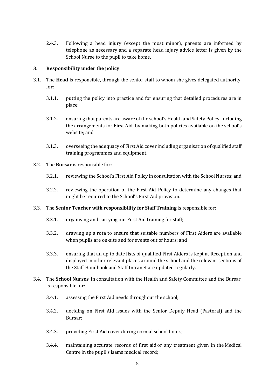2.4.3. Following a head injury (except the most minor), parents are informed by telephone as necessary and a separate head injury advice letter is given by the School Nurse to the pupil to take home.

# **3. Responsibility under the policy**

- 3.1. The **Head** is responsible, through the senior staff to whom she gives delegated authority, for:
	- 3.1.1. putting the policy into practice and for ensuring that detailed procedures are in place;
	- 3.1.2. ensuring that parents are aware of the school's Health and Safety Policy, including the arrangements for First Aid, by making both policies available on the school's website; and
	- 3.1.3. overseeing the adequacy of First Aid cover including organisation of qualified staff training programmes and equipment.
- 3.2. The **Bursar** is responsible for:
	- 3.2.1. reviewing the School's First Aid Policy in consultation with the School Nurses; and
	- 3.2.2. reviewing the operation of the First Aid Policy to determine any changes that might be required to the School's First Aid provision.
- 3.3. The **Senior Teacher with responsibility for Staff Training** is responsible for:
	- 3.3.1. organising and carrying out First Aid training for staff;
	- 3.3.2. drawing up a rota to ensure that suitable numbers of First Aiders are available when pupils are on-site and for events out of hours; and
	- 3.3.3. ensuring that an up to date lists of qualified First Aiders is kept at Reception and displayed in other relevant places around the school and the relevant sections of the Staff Handbook and Staff Intranet are updated regularly.
- 3.4. The **School Nurses**, in consultation with the Health and Safety Committee and the Bursar, is responsible for:
	- 3.4.1. assessing the First Aid needs throughout the school;
	- 3.4.2. deciding on First Aid issues with the Senior Deputy Head (Pastoral) and the Bursar;
	- 3.4.3. providing First Aid cover during normal school hours;
	- 3.4.4. maintaining accurate records of first aid or any treatment given in the Medical Centre in the pupil's isams medical record;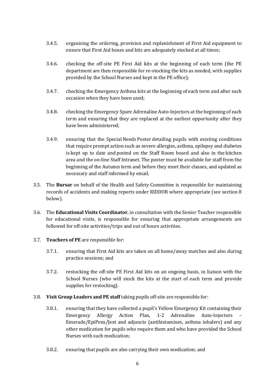- 3.4.5. organising the ordering, provision and replenishment of First Aid equipment to ensure that First Aid boxes and kits are adequately stocked at all times;
- 3.4.6. checking the off-site PE First Aid kits at the beginning of each term (the PE department are then responsible for re-stocking the kits as needed, with supplies provided by the School Nurses and kept in the PE office);
- 3.4.7. checking the Emergency Asthma kits at the beginning of each term and after each occasion when they have been used;
- 3.4.8. checking the Emergency Spare Adrenaline Auto-Injectors at the beginning of each term and ensuring that they are replaced at the earliest opportunity after they have been administered;
- 3.4.9. ensuring that the Special Needs Poster detailing pupils with existing conditions that require prompt action such as severe allergies, asthma, epilepsy and diabetes is kept up to date and posted on the Staff Room board and also in the kitchen area and the on-line Staff Intranet. The poster must be available for staff from the beginning of the Autumn term and before they meet their classes, and updated as necessary and staff informed by email.
- 3.5. The **Bursar** on behalf of the Health and Safety Committee is responsible for maintaining records of accidents and making reports under RIDDOR where appropriate (see section 8 below).
- 3.6. The **Educational Visits Coordinator**, in consultation with the Senior Teacher responsible for educational visits, is responsible for ensuring that appropriate arrangements are followed for off-site activities/trips and out of hours activities.
- 3.7. **Teachers of PE** are responsible for:
	- 3.7.1. ensuring that First Aid kits are taken on all home/away matches and also during practice sessions; and
	- 3.7.2. restocking the off-site PE First Aid kits on an ongoing basis, in liaison with the School Nurses (who will stock the kits at the start of each term and provide supplies for restocking).
- 3.8. **Visit Group Leaders and PE staff** taking pupils off-site are responsible for:
	- 3.8.1. ensuring that they have collected a pupil's Yellow Emergency Kit containing their Emergency Allergy Action Plan, 1-2 Adrenaline Auto-Injectors – Emerade/EpiPens/Jext and adjuncts (antihistamines, asthma inhalers) and any other medication for pupils who require them and who have provided the School Nurses with such medication;
	- 3.8.2. ensuring that pupils are also carrying their own medication; and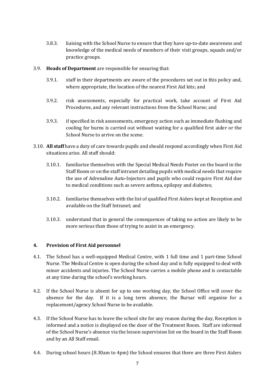- 3.8.3. liaising with the School Nurse to ensure that they have up-to-date awareness and knowledge of the medical needs of members of their visit groups, squads and/or practice groups.
- 3.9. **Heads of Department** are responsible for ensuring that:
	- 3.9.1. staff in their departments are aware of the procedures set out in this policy and, where appropriate, the location of the nearest First Aid kits; and
	- 3.9.2. risk assessments, especially for practical work, take account of First Aid Procedures, and any relevant instructions from the School Nurse; and
	- 3.9.3. if specified in risk assessments, emergency action such as immediate flushing and cooling for burns is carried out without waiting for a qualified first aider or the School Nurse to arrive on the scene.
- 3.10. **All staff** have a duty of care towards pupils and should respond accordingly when First Aid situations arise. All staff should:
	- 3.10.1. familiarise themselves with the Special Medical Needs Poster on the board in the Staff Room or on the staff intranet detailing pupils with medical needs that require the use of Adrenaline Auto-Injectors and pupils who could require First Aid due to medical conditions such as severe asthma, epilepsy and diabetes;
	- 3.10.2. familiarise themselves with the list of qualified First Aiders kept at Reception and available on the Staff Intranet; and
	- 3.10.3. understand that in general the consequences of taking no action are likely to be more serious than those of trying to assist in an emergency.

# **4. Provision of First Aid personnel**

- 4.1. The School has a well-equipped Medical Centre, with 1 full time and 1 part-time School Nurse. The Medical Centre is open during the school day and is fully equipped to deal with minor accidents and injuries. The School Nurse carries a mobile phone and is contactable at any time during the school's working hours.
- 4.2. If the School Nurse is absent for up to one working day, the School Office will cover the absence for the day. If it is a long term absence, the Bursar will organise for a replacement/agency School Nurse to be available.
- 4.3. If the School Nurse has to leave the school site for any reason during the day, Reception is informed and a notice is displayed on the door of the Treatment Room. Staff are informed of the School Nurse's absence via the lesson supervision list on the board in the Staff Room and by an All Staff email.
- 4.4. During school hours (8.30am to 4pm) the School ensures that there are three First Aiders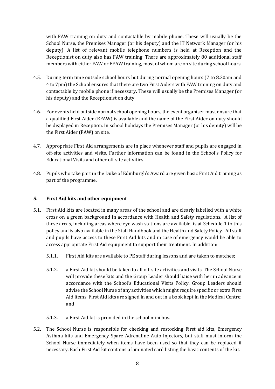with FAW training on duty and contactable by mobile phone. These will usually be the School Nurse, the Premises Manager (or his deputy) and the IT Network Manager (or his deputy). A list of relevant mobile telephone numbers is held at Reception and the Receptionist on duty also has FAW training. There are approximately 80 additional staff members with either FAW or EFAW training, most of whom are on site during school hours.

- 4.5. During term time outside school hours but during normal opening hours (7 to 8.30am and 4 to 7pm) the School ensures that there are two First Aiders with FAW training on duty and contactable by mobile phone if necessary. These will usually be the Premises Manager (or his deputy) and the Receptionist on duty.
- 4.6. For events held outside normal school opening hours, the event organiser must ensure that a qualified First Aider (EFAW) is available and the name of the First Aider on duty should be displayed in Reception. In school holidays the Premises Manager (or his deputy) will be the First Aider (FAW) on site.
- 4.7. Appropriate First Aid arrangements are in place whenever staff and pupils are engaged in off-site activities and visits. Further information can be found in the School's Policy for Educational Visits and other off-site activities.
- 4.8. Pupils who take part in the Duke of Edinburgh's Award are given basic First Aid training as part of the programme.

# **5. First Aid kits and other equipment**

- 5.1. First Aid kits are located in many areas of the school and are clearly labelled with a white cross on a green background in accordance with Health and Safety regulations. A list of these areas, including areas where eye wash stations are available, is at Schedule 1 to this policy and is also available in the Staff Handbook and the Health and Safety Policy. All staff and pupils have access to these First Aid kits and in case of emergency would be able to access appropriate First Aid equipment to support their treatment. In addition:
	- 5.1.1. First Aid kits are available to PE staff during lessons and are taken to matches;
	- 5.1.2. a First Aid kit should be taken to all off-site activities and visits. The School Nurse will provide these kits and the Group Leader should liaise with her in advance in accordance with the School's Educational Visits Policy. Group Leaders should advise the School Nurse of any activities which might require specific or extra First Aid items. First Aid kits are signed in and out in a book kept in the Medical Centre; and
	- 5.1.3. a First Aid kit is provided in the school mini bus.
- 5.2. The School Nurse is responsible for checking and restocking First aid kits, Emergency Asthma kits and Emergency Spare Adrenaline Auto-Injectors, but staff must inform the School Nurse immediately when items have been used so that they can be replaced if necessary. Each First Aid kit contains a laminated card listing the basic contents of the kit.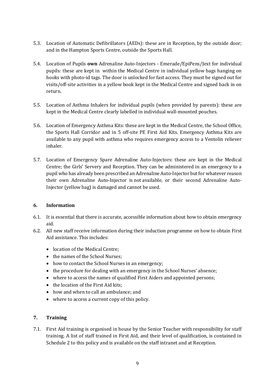- 5.3. Location of Automatic Defibrillators (AEDs): these are in Reception, by the outside door; and in the Hampton Sports Centre, outside the Sports Hall.
- 5.4. Location of Pupils **own** Adrenaline Auto-Injectors Emerade/EpiPens/Jext for individual pupils: these are kept in within the Medical Centre in individual yellow bags hanging on hooks with photo-id tags. The door is unlocked for fast access. They must be signed out for visits/off-site activities in a yellow book kept in the Medical Centre and signed back in on return.
- 5.5. Location of Asthma Inhalers for individual pupils (when provided by parents): these are kept in the Medical Centre clearly labelled in individual wall-mounted pouches.
- 5.6. Location of Emergency Asthma Kits: these are kept in the Medical Centre, the School Office, the Sports Hall Corridor and in 5 off-site PE First Aid Kits. Emergency Asthma Kits are available to any pupil with asthma who requires emergency access to a Ventolin reliever inhaler.
- 5.7. Location of Emergency Spare Adrenaline Auto-Injectors: these are kept in the Medical Centre; the Girls' Servery and Reception. They can be administered in an emergency to a pupil who has already been prescribed an Adrenaline Auto-Injector but for whatever reason their own Adrenaline Auto-Injector is not available, or their second Adrenaline Auto-Injector (yellow bag) is damaged and cannot be used.

# **6. Information**

- 6.1. It is essential that there is accurate, accessible information about how to obtain emergency aid.
- 6.2. All new staff receive information during their induction programme on how to obtain First Aid assistance. This includes:
	- location of the Medical Centre;
	- the names of the School Nurses;
	- how to contact the School Nurses in an emergency;
	- the procedure for dealing with an emergency in the School Nurses' absence;
	- where to access the names of qualified First Aiders and appointed persons;
	- the location of the First Aid kits;
	- how and when to call an ambulance: and
	- where to access a current copy of this policy.

# **7. Training**

7.1. First Aid training is organised in house by the Senior Teacher with responsibility for staff training. A list of staff trained in First Aid, and their level of qualification, is contained in Schedule 2 to this policy and is available on the staff intranet and at Reception.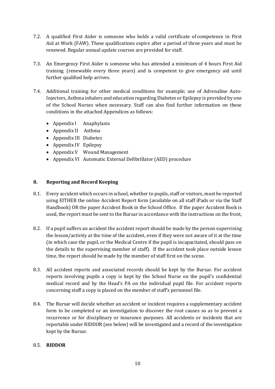- 7.2. A qualified First Aider is someone who holds a valid certificate of competence in First Aid at Work (FAW). These qualifications expire after a period of three years and must be renewed. Regular annual update courses are provided for staff.
- 7.3. An Emergency First Aider is someone who has attended a minimum of 4 hours First Aid training (renewable every three years) and is competent to give emergency aid until further qualified help arrives.
- 7.4. Additional training for other medical conditions for example; use of Adrenaline Auto-Injectors, Asthma inhalers and education regarding Diabetes or Epilepsy is provided by one of the School Nurses when necessary. Staff can also find further information on these conditions in the attached Appendices as follows:
	- Appendix I Anaphylaxis
	- Appendix II Asthma
	- Appendix III Diabetes
	- Appendix IV Epilepsy
	- Appendix V Wound Management
	- Appendix VI Automatic External Defibrillator (AED) procedure

# **8. Reporting and Record Keeping**

- 8.1. Every accident which occurs in school, whether to pupils, staff or visitors, must be reported using EITHER the online Accident Report form (available on all staff iPads or via the Staff Handbook) OR the paper Accident Book in the School Office. If the paper Accident Book is used, the report must be sent to the Bursar in accordance with the instructions on the front,
- 8.2. If a pupil suffers an accident the accident report should be made by the person supervising the lesson/activity at the time of the accident, even if they were not aware of it at the time (in which case the pupil, or the Medical Centre if the pupil is incapacitated, should pass on the details to the supervising member of staff). If the accident took place outside lesson time, the report should be made by the member of staff first on the scene.
- 8.3. All accident reports and associated records should be kept by the Bursar. For accident reports involving pupils a copy is kept by the School Nurse on the pupil's confidential medical record and by the Head's PA on the individual pupil file. For accident reports concerning staff a copy is placed on the member of staff's personnel file.
- 8.4. The Bursar will decide whether an accident or incident requires a supplementary accident form to be completed or an investigation to discover the root causes so as to prevent a recurrence or for disciplinary or insurance purposes. All accidents or incidents that are reportable under RIDDOR (see below) will be investigated and a record of the investigation kept by the Bursar.

# 8.5. **RIDDOR**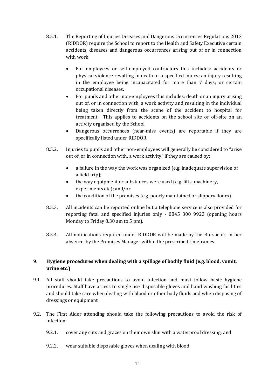- 8.5.1. The Reporting of Injuries Diseases and Dangerous Occurrences Regulations 2013 (RIDDOR) require the School to report to the Health and Safety Executive certain accidents, diseases and dangerous occurrences arising out of or in connection with work.
	- For employees or self-employed contractors this includes: accidents or physical violence resulting in death or a specified injury; an injury resulting in the employee being incapacitated for more than 7 days; or certain occupational diseases.
	- For pupils and other non-employees this includes: death or an injury arising out of, or in connection with, a work activity and resulting in the individual being taken directly from the scene of the accident to hospital for treatment. This applies to accidents on the school site or off-site on an activity organised by the School.
	- Dangerous occurrences (near-miss events) are reportable if they are specifically listed under RIDDOR.
- 8.5.2. Injuries to pupils and other non-employees will generally be considered to "arise out of, or in connection with, a work activity" if they are caused by:
	- a failure in the way the work was organized (e.g. inadequate supervision of a field trip);
	- the way equipment or substances were used (e.g. lifts, machinery, experiments etc); and/or
	- the condition of the premises (e.g. poorly maintained or slippery floors).
- 8.5.3. All incidents can be reported online but a telephone service is also provided for reporting fatal and specified injuries only - 0845 300 9923 (opening hours Monday to Friday 8.30 am to 5 pm).
- 8.5.4. All notifications required under RIDDOR will be made by the Bursar or, in her absence, by the Premises Manager within the prescribed timeframes.

# **9. Hygiene procedures when dealing with a spillage of bodily fluid (e.g. blood, vomit, urine etc.)**

- 9.1. All staff should take precautions to avoid infection and must follow basic hygiene procedures. Staff have access to single use disposable gloves and hand washing facilities and should take care when dealing with blood or other body fluids and when disposing of dressings or equipment.
- 9.2. The First Aider attending should take the following precautions to avoid the risk of infection:
	- 9.2.1. cover any cuts and grazes on their own skin with a waterproof dressing; and
	- 9.2.2. wear suitable disposable gloves when dealing with blood.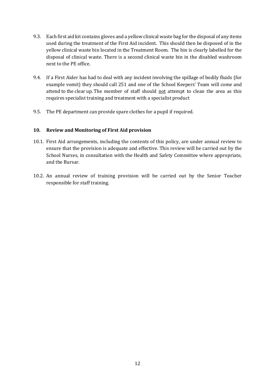- 9.3. Each first aid kit contains gloves and a yellow clinical waste bag for the disposal of any items used during the treatment of the First Aid incident. This should then be disposed of in the yellow clinical waste bin located in the Treatment Room. The bin is clearly labelled for the disposal of clinical waste. There is a second clinical waste bin in the disabled washroom next to the PE office.
- 9.4. If a First Aider has had to deal with any incident involving the spillage of bodily fluids (for example vomit) they should call 251 and one of the School Keepers' Team will come and attend to the clear up. The member of staff should not attempt to clean the area as this requires specialist training and treatment with a specialist product
- 9.5. The PE department can provide spare clothes for a pupil if required.

# **10. Review and Monitoring of First Aid provision**

- 10.1. First Aid arrangements, including the contents of this policy, are under annual review to ensure that the provision is adequate and effective. This review will be carried out by the School Nurses, in consultation with the Health and Safety Committee where appropriate, and the Bursar.
- 10.2. An annual review of training provision will be carried out by the Senior Teacher responsible for staff training.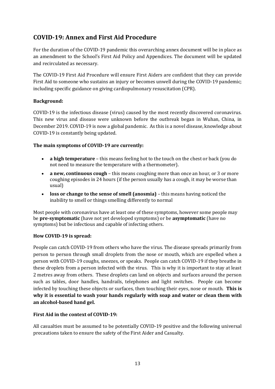# **COVID-19: Annex and First Aid Procedure**

For the duration of the COVID-19 pandemic this overarching annex document will be in place as an amendment to the School's First Aid Policy and Appendices. The document will be updated and recirculated as necessary.

The COVID-19 First Aid Procedure will ensure First Aiders are confident that they can provide First Aid to someone who sustains an injury or becomes unwell during the COVID-19 pandemic; including specific guidance on giving cardiopulmonary resuscitation (CPR).

# **Background:**

COVID-19 is the infectious disease (virus) caused by the most recently discovered coronavirus. This new virus and disease were unknown before the outbreak began in Wuhan, China, in December 2019. COVID-19 is now a global pandemic. As this is a novel disease, knowledge about COVID-19 is constantly being updated.

# **The main symptoms of COVID-19 are currently:**

- **a high temperature** this means feeling hot to the touch on the chest or back (you do not need to measure the temperature with a thermometer).
- **a new, continuous cough** this means coughing more than once an hour, or 3 or more coughing episodes in 24 hours (if the person usually has a cough, it may be worse than usual)
- **loss or change to the sense of smell (anosmia)**  this means having noticed the inability to smell or things smelling differently to normal

Most people with coronavirus have at least one of these symptoms, however some people may be **pre-symptomatic** (have not yet developed symptoms) or be **asymptomatic** (have no symptoms) but be infectious and capable of infecting others.

# **How COVID-19 is spread:**

People can catch COVID-19 from others who have the virus. The disease spreads primarily from person to person through small droplets from the nose or mouth, which are expelled when a person with COVID-19 coughs, sneezes, or speaks. People can catch COVID-19 if they breathe in these droplets from a person infected with the virus. This is why it is important to stay at least 2 metres away from others. These droplets can land on objects and surfaces around the person such as tables, door handles, handrails, telephones and light switches. People can become infected by touching these objects or surfaces, then touching their eyes, nose or mouth. **This is why it is essential to wash your hands regularly with soap and water or clean them with an alcohol-based hand gel.**

# **First Aid in the context of COVID-19:**

All casualties must be assumed to be potentially COVID-19 positive and the following universal precautions taken to ensure the safety of the First Aider and Casualty.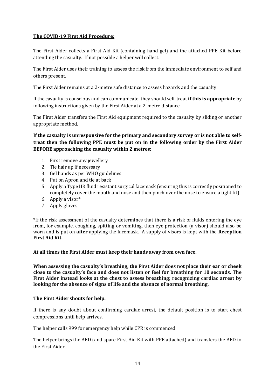# **The COVID-19 First Aid Procedure:**

The First Aider collects a First Aid Kit (containing hand gel) and the attached PPE Kit before attending the casualty. If not possible a helper will collect.

The First Aider uses their training to assess the risk from the immediate environment to self and others present.

The First Aider remains at a 2-metre safe distance to assess hazards and the casualty.

If the casualty is conscious and can communicate, they should self-treat **if this is appropriate** by following instructions given by the First Aider at a 2-metre distance.

The First Aider transfers the First Aid equipment required to the casualty by sliding or another appropriate method.

**If the casualty is unresponsive for the primary and secondary survey or is not able to selftreat then the following PPE must be put on in the following order by the First Aider BEFORE approaching the casualty within 2 metres:**

- 1. First remove any jewellery
- 2. Tie hair up if necessary
- 3. Gel hands as per WHO guidelines
- 4. Put on Apron and tie at back
- 5. Apply a Type IIR fluid resistant surgical facemask (ensuring this is correctly positioned to completely cover the mouth and nose and then pinch over the nose to ensure a tight fit)
- 6. Apply a visor\*
- 7. Apply gloves

\*If the risk assessment of the casualty determines that there is a risk of fluids entering the eye from, for example, coughing, spitting or vomiting, then eye protection (a visor) should also be worn and is put on **after** applying the facemask. A supply of visors is kept with the **Reception First Aid Kit.**

**At all times the First Aider must keep their hands away from own face.**

**When assessing the casualty's breathing, the First Aider does not place their ear or cheek close to the casualty's face and does not listen or feel for breathing for 10 seconds. The First Aider instead looks at the chest to assess breathing; recognizing cardiac arrest by looking for the absence of signs of life and the absence of normal breathing.**

# **The First Aider shouts for help.**

If there is any doubt about confirming cardiac arrest, the default position is to start chest compressions until help arrives.

The helper calls 999 for emergency help while CPR is commenced.

The helper brings the AED (and spare First Aid Kit with PPE attached) and transfers the AED to the First Aider.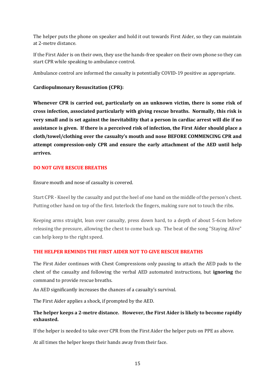The helper puts the phone on speaker and hold it out towards First Aider, so they can maintain at 2-metre distance.

If the First Aider is on their own, they use the hands-free speaker on their own phone so they can start CPR while speaking to ambulance control.

Ambulance control are informed the casualty is potentially COVID-19 positive as appropriate.

# **Cardiopulmonary Resuscitation (CPR):**

**Whenever CPR is carried out, particularly on an unknown victim, there is some risk of cross infection, associated particularly with giving rescue breaths. Normally, this risk is very small and is set against the inevitability that a person in cardiac arrest will die if no assistance is given. If there is a perceived risk of infection, the First Aider should place a cloth/towel/clothing over the casualty's mouth and nose BEFORE COMMENCING CPR and attempt compression-only CPR and ensure the early attachment of the AED until help arrives.**

# **DO NOT GIVE RESCUE BREATHS**

Ensure mouth and nose of casualty is covered.

Start CPR - Kneel by the casualty and put the heel of one hand on the middle of the person's chest. Putting other hand on top of the first. Interlock the fingers, making sure not to touch the ribs.

Keeping arms straight, lean over casualty, press down hard, to a depth of about 5-6cm before releasing the pressure, allowing the chest to come back up. The beat of the song "Staying Alive" can help keep to the right speed.

# **THE HELPER REMINDS THE FIRST AIDER NOT TO GIVE RESCUE BREATHS**

The First Aider continues with Chest Compressions only pausing to attach the AED pads to the chest of the casualty and following the verbal AED automated instructions, but **ignoring** the command to provide rescue breaths.

An AED significantly increases the chances of a casualty's survival.

The First Aider applies a shock, if prompted by the AED.

# **The helper keeps a 2-metre distance. However, the First Aider is likely to become rapidly exhausted.**

If the helper is needed to take over CPR from the First Aider the helper puts on PPE as above.

At all times the helper keeps their hands away from their face.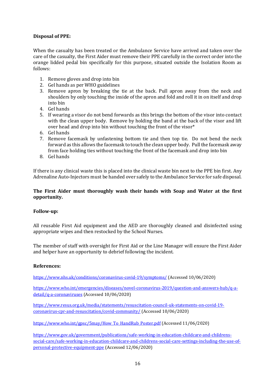# **Disposal of PPE:**

When the casualty has been treated or the Ambulance Service have arrived and taken over the care of the casualty, the First Aider must remove their PPE carefully in the correct order into the orange lidded pedal bin specifically for this purpose, situated outside the Isolation Room as follows:

- 1. Remove gloves and drop into bin
- 2. Gel hands as per WHO guidelines
- 3. Remove apron by breaking the tie at the back. Pull apron away from the neck and shoulders by only touching the inside of the apron and fold and roll it in on itself and drop into bin
- 4. Gel hands
- 5. If wearing a visor do not bend forwards as this brings the bottom of the visor into contact with the clean upper body. Remove by holding the band at the back of the visor and lift over head and drop into bin without touching the front of the visor\*
- 6. Gel hands
- 7. Remove facemask by unfastening bottom tie and then top tie. Do not bend the neck forward as this allows the facemask to touch the clean upper body. Pull the facemask away from face holding ties without touching the front of the facemask and drop into bin
- 8. Gel hands

If there is any clinical waste this is placed into the clinical waste bin next to the PPE bin first. Any Adrenaline Auto-Injectors must be handed over safely to the Ambulance Service for safe disposal.

# **The First Aider must thoroughly wash their hands with Soap and Water at the first opportunity.**

# **Follow-up:**

All reusable First Aid equipment and the AED are thoroughly cleaned and disinfected using appropriate wipes and then restocked by the School Nurses.

The member of staff with oversight for First Aid or the Line Manager will ensure the First Aider and helper have an opportunity to debrief following the incident.

# **References:**

<https://www.nhs.uk/conditions/coronavirus-covid-19/symptoms/> (Accessed 10/06/2020)

[https://www.who.int/emergencies/diseases/novel-coronavirus-2019/question-and-answers-hub/q-a](https://www.who.int/emergencies/diseases/novel-coronavirus-2019/question-and-answers-hub/q-a-detail/q-a-coronaviruses)[detail/q-a-coronaviruses](https://www.who.int/emergencies/diseases/novel-coronavirus-2019/question-and-answers-hub/q-a-detail/q-a-coronaviruses) (Accessed 10/06/2020)

[https://www.resus.org.uk/media/statements/resuscitation-council-uk-statements-on-covid-19](https://www.resus.org.uk/media/statements/resuscitation-council-uk-statements-on-covid-19-coronavirus-cpr-and-resuscitation/covid-community/) [coronavirus-cpr-and-resuscitation/covid-community/](https://www.resus.org.uk/media/statements/resuscitation-council-uk-statements-on-covid-19-coronavirus-cpr-and-resuscitation/covid-community/) (Accessed 10/06/2020)

[https://www.who.int/gpsc/5may/How\\_To\\_HandRub\\_Poster.pdf](https://www.who.int/gpsc/5may/How_To_HandRub_Poster.pdf) (Accessed 11/06/2020)

[https://www.gov.uk/government/publications/safe-working-in-education-childcare-and-childrens](https://www.gov.uk/government/publications/safe-working-in-education-childcare-and-childrens-social-care/safe-working-in-education-childcare-and-childrens-social-care-settings-including-the-use-of-personal-protective-equipment-ppe)[social-care/safe-working-in-education-childcare-and-childrens-social-care-settings-including-the-use-of](https://www.gov.uk/government/publications/safe-working-in-education-childcare-and-childrens-social-care/safe-working-in-education-childcare-and-childrens-social-care-settings-including-the-use-of-personal-protective-equipment-ppe)[personal-protective-equipment-ppe](https://www.gov.uk/government/publications/safe-working-in-education-childcare-and-childrens-social-care/safe-working-in-education-childcare-and-childrens-social-care-settings-including-the-use-of-personal-protective-equipment-ppe) (Accessed 12/06/2020)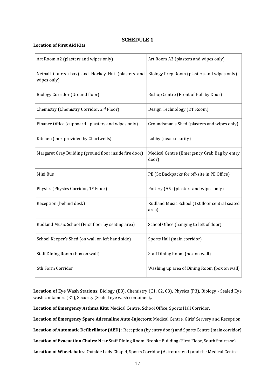# **SCHEDULE 1**

#### **Location of First Aid Kits**

| Art Room A2 (plasters and wipes only)                            | Art Room A3 (plasters and wipes only)                   |
|------------------------------------------------------------------|---------------------------------------------------------|
| Netball Courts (box) and Hockey Hut (plasters and<br>wipes only) | Biology Prep Room (plasters and wipes only)             |
| Biology Corridor (Ground floor)                                  | Bishop Centre (Front of Hall by Door)                   |
| Chemistry (Chemistry Corridor, 2 <sup>nd</sup> Floor)            | Design Technology (DT Room)                             |
| Finance Office (cupboard - plasters and wipes only)              | Groundsman's Shed (plasters and wipes only)             |
| Kitchen (box provided by Chartwells)                             | Lobby (near security)                                   |
| Margaret Gray Building (ground floor inside fire door)           | Medical Centre (Emergency Grab Bag by entry<br>door)    |
| Mini Bus                                                         | PE (5x Backpacks for off-site in PE Office)             |
| Physics (Physics Corridor, 1st Floor)                            | Pottery (A5) (plasters and wipes only)                  |
| Reception (behind desk)                                          | Rudland Music School (1st floor central seated<br>area) |
| Rudland Music School (First floor by seating area)               | School Office (hanging to left of door)                 |
| School Keeper's Shed (on wall on left hand side)                 | Sports Hall (main corridor)                             |
| Staff Dining Room (box on wall)                                  | Staff Dining Room (box on wall)                         |
| 6th Form Corridor                                                | Washing up area of Dining Room (box on wall)            |

**Location of Eye Wash Stations:** Biology (B3), Chemistry (C1, C2, C3), Physics (P3), Biology - Sealed Eye wash containers (E1), Security (Sealed eye wash container),.

**Location of Emergency Asthma Kits:** Medical Centre. School Office, Sports Hall Corridor.

**Location of Emergency Spare Adrenaline Auto-Injectors**: Medical Centre, Girls' Servery and Reception.

**Location of Automatic Defibrillator (AED):** Reception (by entry door) and Sports Centre (main corridor)

**Location of Evacuation Chairs:** Near Staff Dining Room, Brooke Building (First Floor, South Staircase)

**Location of Wheelchairs:** Outside Lady Chapel, Sports Corridor (Astroturf end) and the Medical Centre.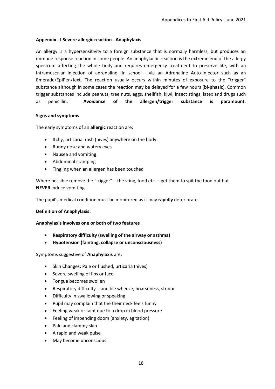#### **Appendix - I Severe allergic reaction - Anaphylaxis**

An allergy is a hypersensitivity to a foreign substance that is normally harmless, but produces an immune response reaction in some people. An anaphylactic reaction is the extreme end of the allergy spectrum affecting the whole body and requires emergency treatment to preserve life, with an intramuscular injection of adrenaline (in school - via an Adrenaline Auto-Injector such as an Emerade/EpiPen/Jext. The reaction usually occurs within minutes of exposure to the "trigger" substance although in some cases the reaction may be delayed for a few hours (**bi-phasic**). Common trigger substances include peanuts, tree nuts, eggs, shellfish, kiwi, insect stings, latex and drugs such as penicillin. **Avoidance of the allergen/trigger substance is paramount.**

#### **Signs and symptoms**

The early symptoms of an **allergic** reaction are:

- Itchy, urticarial rash (hives) anywhere on the body
- Runny nose and watery eyes
- Nausea and vomiting
- Abdominal cramping
- Tingling when an allergen has been touched

Where possible remove the "trigger" – the sting, food etc. – get them to spit the food out but **NEVER** induce vomiting

The pupil's medical condition must be monitored as it may **rapidly** deteriorate

#### **Definition of Anaphylaxis:**

#### **Anaphylaxis involves one or both of two features**

- **Respiratory difficulty (swelling of the airway or asthma)**
- **Hypotension (fainting, collapse or unconsciousness)**

Symptoms suggestive of **Anaphylaxis** are:

- Skin Changes: Pale or flushed, urticaria (hives)
- Severe swelling of lips or face
- Tongue becomes swollen
- Respiratory difficulty audible wheeze, hoarseness, stridor
- Difficulty in swallowing or speaking
- Pupil may complain that the their neck feels funny
- Feeling weak or faint due to a drop in blood pressure
- Feeling of impending doom (anxiety, agitation)
- Pale and clammy skin
- A rapid and weak pulse
- May become unconscious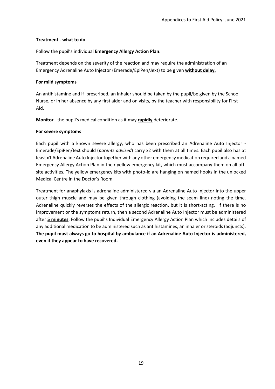#### **Treatment - what to do**

Follow the pupil's individual **Emergency Allergy Action Plan**.

Treatment depends on the severity of the reaction and may require the administration of an Emergency Adrenaline Auto Injector (Emerade/EpiPen/Jext) to be given **without delay.**

#### **For mild symptoms**

An antihistamine and if prescribed, an inhaler should be taken by the pupil/be given by the School Nurse, or in her absence by any first aider and on visits, by the teacher with responsibility for First Aid.

**Monitor** - the pupil's medical condition as it may **rapidly** deteriorate.

#### **For severe symptoms**

Each pupil with a known severe allergy, who has been prescribed an Adrenaline Auto Injector - Emerade/EpiPen/Jext should (*parents advised*) carry x2 with them at all times. Each pupil also has at least x1 Adrenaline Auto Injector together with any other emergency medication required and a named Emergency Allergy Action Plan in their yellow emergency kit, which must accompany them on all offsite activities. The yellow emergency kits with photo-id are hanging on named hooks in the unlocked Medical Centre in the Doctor's Room.

Treatment for anaphylaxis is adrenaline administered via an Adrenaline Auto Injector into the upper outer thigh muscle and may be given through clothing (avoiding the seam line) noting the time. Adrenaline quickly reverses the effects of the allergic reaction, but it is short-acting. If there is no improvement or the symptoms return, then a second Adrenaline Auto Injector must be administered after **5 minutes**. Follow the pupil's Individual Emergency Allergy Action Plan which includes details of any additional medication to be administered such as antihistamines, an inhaler or steroids (adjuncts). **The pupil must always go to hospital by ambulance if an Adrenaline Auto Injector is administered, even if they appear to have recovered.**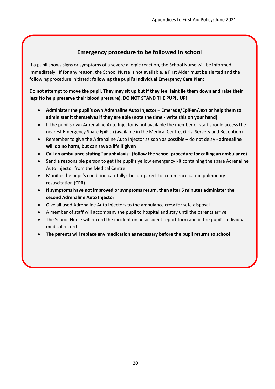# **Emergency procedure to be followed in school**

If a pupil shows signs or symptoms of a severe allergic reaction, the School Nurse will be informed immediately. If for any reason, the School Nurse is not available, a First Aider must be alerted and the following procedure initiated; **following the pupil's Individual Emergency Care Plan:**

**Do not attempt to move the pupil. They may sit up but if they feel faint lie them down and raise their legs (to help preserve their blood pressure). DO NOT STAND THE PUPIL UP!**

- **Administer the pupil's own Adrenaline Auto Injector – Emerade/EpiPen/Jext or help them to administer it themselves if they are able (note the time - write this on your hand)**
- If the pupil's own Adrenaline Auto Injector is not available the member of staff should access the nearest Emergency Spare EpiPen (available in the Medical Centre, Girls' Servery and Reception)
- Remember to give the Adrenaline Auto Injector as soon as possible do not delay **adrenaline will do no harm, but can save a life if given**
- **Call an ambulance stating "anaphylaxis" (follow the school procedure for calling an ambulance)**
- Send a responsible person to get the pupil's yellow emergency kit containing the spare Adrenaline Auto Injector from the Medical Centre
- Monitor the pupil's condition carefully; be prepared to commence cardio pulmonary resuscitation (CPR)
- **If symptoms have not improved or symptoms return, then after 5 minutes administer the second Adrenaline Auto Injector**
- Give all used Adrenaline Auto Injectors to the ambulance crew for safe disposal
- A member of staff will accompany the pupil to hospital and stay until the parents arrive
- The School Nurse will record the incident on an accident report form and in the pupil's individual medical record
- **The parents will replace any medication as necessary before the pupil returns to school**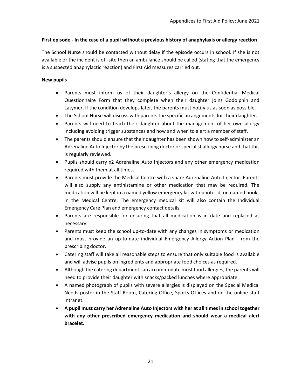#### **First episode - In the case of a pupil without a previous history of anaphylaxis or allergy reaction**

The School Nurse should be contacted without delay if the episode occurs in school. If she is not available or the incident is off-site then an ambulance should be called (stating that the emergency is a suspected anaphylactic reaction) and First Aid measures carried out.

#### **New pupils**

- Parents must inform us of their daughter's allergy on the Confidential Medical Questionnaire Form that they complete when their daughter joins Godolphin and Latymer. If the condition develops later, the parents must notify us as soon as possible.
- The School Nurse will discuss with parents the specific arrangements for their daughter.
- Parents will need to teach their daughter about the management of her own allergy including avoiding trigger substances and how and when to alert a member of staff.
- The parents should ensure that their daughter has been shown how to self-administer an Adrenaline Auto Injector by the prescribing doctor or specialist allergy nurse and that this is regularly reviewed.
- Pupils should carry x2 Adrenaline Auto Injectors and any other emergency medication required with them at all times.
- Parents must provide the Medical Centre with a spare Adrenaline Auto Injector. Parents will also supply any antihistamine or other medication that may be required. The medication will be kept in a named yellow emergency kit with photo-id, on named hooks in the Medical Centre. The emergency medical kit will also contain the Individual Emergency Care Plan and emergency contact details.
- Parents are responsible for ensuring that all medication is in date and replaced as necessary.
- Parents must keep the school up-to-date with any changes in symptoms or medication and must provide an up-to-date individual Emergency Allergy Action Plan from the prescribing doctor.
- Catering staff will take all reasonable steps to ensure that only suitable food is available and will advise pupils on ingredients and appropriate food choices as required.
- Although the catering department can accommodate most food allergies, the parents will need to provide their daughter with snacks/packed lunches where appropriate.
- A named photograph of pupils with severe allergies is displayed on the Special Medical Needs poster in the Staff Room, Catering Office, Sports Offices and on the online staff intranet.
- **A pupil must carry her Adrenaline Auto Injectors with her at all times in school together with any other prescribed emergency medication and should wear a medical alert bracelet.**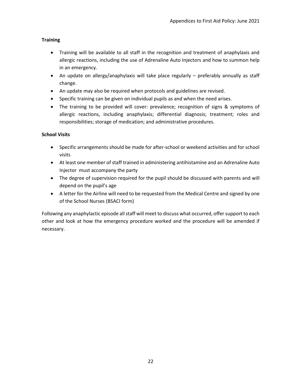# **Training**

- Training will be available to all staff in the recognition and treatment of anaphylaxis and allergic reactions, including the use of Adrenaline Auto Injectors and how to summon help in an emergency.
- An update on allergy/anaphylaxis will take place regularly preferably annually as staff change.
- An update may also be required when protocols and guidelines are revised.
- Specific training can be given on individual pupils as and when the need arises.
- The training to be provided will cover: prevalence; recognition of signs & symptoms of allergic reactions, including anaphylaxis; differential diagnosis; treatment; roles and responsibilities; storage of medication; and administrative procedures.

# **School Visits**

- Specific arrangements should be made for after-school or weekend activities and for school visits
- At least one member of staff trained in administering antihistamine and an Adrenaline Auto Injector must accompany the party
- The degree of supervision required for the pupil should be discussed with parents and will depend on the pupil's age
- A letter for the Airline will need to be requested from the Medical Centre and signed by one of the School Nurses (BSACI form)

Following any anaphylactic episode all staff will meet to discuss what occurred, offer support to each other and look at how the emergency procedure worked and the procedure will be amended if necessary.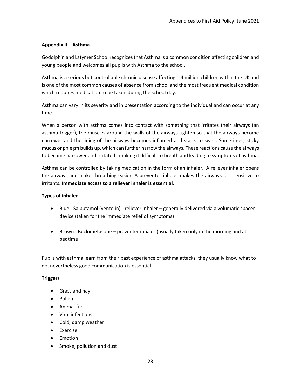#### **Appendix II – Asthma**

Godolphin and Latymer School recognizes that Asthma is a common condition affecting children and young people and welcomes all pupils with Asthma to the school.

Asthma is a serious but controllable chronic disease affecting 1.4 million children within the UK and is one of the most common causes of absence from school and the most frequent medical condition which requires medication to be taken during the school day.

Asthma can vary in its severity and in presentation according to the individual and can occur at any time.

When a person with asthma comes into contact with something that irritates their airways (an asthma trigger), the muscles around the walls of the airways tighten so that the airways become narrower and the lining of the airways becomes inflamed and starts to swell. Sometimes, sticky mucus or phlegm builds up, which can further narrow the airways. These reactions cause the airways to become narrower and irritated - making it difficult to breath and leading to symptoms of asthma.

Asthma can be controlled by taking medication in the form of an inhaler. A reliever inhaler opens the airways and makes breathing easier. A preventer inhaler makes the airways less sensitive to irritants. **Immediate access to a reliever inhaler is essential.**

#### **Types of inhaler**

- Blue Salbutamol (ventolin) reliever inhaler generally delivered via a volumatic spacer device (taken for the immediate relief of symptoms)
- Brown Beclometasone preventer inhaler (usually taken only in the morning and at bedtime

Pupils with asthma learn from their past experience of asthma attacks; they usually know what to do, nevertheless good communication is essential.

# **Triggers**

- Grass and hay
- Pollen
- Animal fur
- Viral infections
- Cold, damp weather
- Exercise
- Emotion
- Smoke, pollution and dust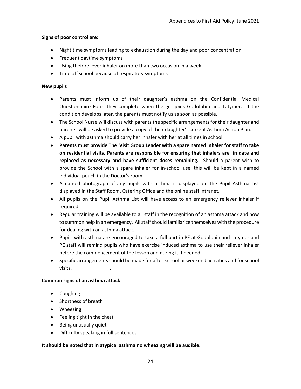#### **Signs of poor control are:**

- Night time symptoms leading to exhaustion during the day and poor concentration
- Frequent daytime symptoms
- Using their reliever inhaler on more than two occasion in a week
- Time off school because of respiratory symptoms

#### **New pupils**

- Parents must inform us of their daughter's asthma on the Confidential Medical Questionnaire Form they complete when the girl joins Godolphin and Latymer. If the condition develops later, the parents must notify us as soon as possible.
- The School Nurse will discuss with parents the specific arrangements for their daughter and parents will be asked to provide a copy of their daughter's current Asthma Action Plan.
- A pupil with asthma should carry her inhaler with her at all times in school.
- **Parents must provide The Visit Group Leader with a spare named inhaler for staff to take on residential visits. Parents are responsible for ensuring that inhalers are in date and replaced as necessary and have sufficient doses remaining.** Should a parent wish to provide the School with a spare inhaler for in-school use, this will be kept in a named individual pouch in the Doctor's room.
- A named photograph of any pupils with asthma is displayed on the Pupil Asthma List displayed in the Staff Room, Catering Office and the online staff intranet.
- All pupils on the Pupil Asthma List will have access to an emergency reliever inhaler if required.
- Regular training will be available to all staff in the recognition of an asthma attack and how to summon help in an emergency. All staff should familiarize themselves with the procedure for dealing with an asthma attack.
- Pupils with asthma are encouraged to take a full part in PE at Godolphin and Latymer and PE staff will remind pupils who have exercise induced asthma to use their reliever inhaler before the commencement of the lesson and during it if needed.
- Specific arrangements should be made for after-school or weekend activities and for school visits.

# **Common signs of an asthma attack**

- Coughing
- Shortness of breath
- Wheezing
- Feeling tight in the chest
- Being unusually quiet
- Difficulty speaking in full sentences

# **It should be noted that in atypical asthma no wheezing will be audible.**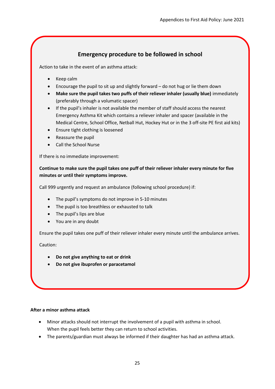# **Emergency procedure to be followed in school**

Action to take in the event of an asthma attack:

- Keep calm
- Encourage the pupil to sit up and slightly forward do not hug or lie them down
- **Make sure the pupil takes two puffs of their reliever inhaler (usually blue)** immediately (preferably through a volumatic spacer)
- If the pupil's inhaler is not available the member of staff should access the nearest Emergency Asthma Kit which contains a reliever inhaler and spacer (available in the Medical Centre, School Office, Netball Hut, Hockey Hut or in the 3 off-site PE first aid kits)
- Ensure tight clothing is loosened
- Reassure the pupil
- Call the School Nurse

If there is no immediate improvement:

**Continue to make sure the pupil takes one puff of their reliever inhaler every minute for five minutes or until their symptoms improve.**

Call 999 urgently and request an ambulance (following school procedure) if:

- The pupil's symptoms do not improve in 5-10 minutes
- The pupil is too breathless or exhausted to talk
- The pupil's lips are blue
- You are in any doubt

Ensure the pupil takes one puff of their reliever inhaler every minute until the ambulance arrives.

Caution:

- **Do not give anything to eat or drink**
- **Do not give ibuprofen or paracetamol**

# **After a minor asthma attack**

- Minor attacks should not interrupt the involvement of a pupil with asthma in school. When the pupil feels better they can return to school activities.
- The parents/guardian must always be informed if their daughter has had an asthma attack.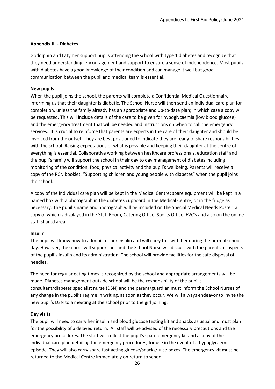#### **Appendix III - Diabetes**

Godolphin and Latymer support pupils attending the school with type 1 diabetes and recognize that they need understanding, encouragement and support to ensure a sense of independence. Most pupils with diabetes have a good knowledge of their condition and can manage it well but good communication between the pupil and medical team is essential.

# **New pupils**

When the pupil joins the school, the parents will complete a Confidential Medical Questionnaire informing us that their daughter is diabetic. The School Nurse will then send an individual care plan for completion, unless the family already has an appropriate and up-to-date plan; in which case a copy will be requested. This will include details of the care to be given for hypoglycaemia (low blood glucose) and the emergency treatment that will be needed and instructions on when to call the emergency services. It is crucial to reinforce that parents are experts in the care of their daughter and should be involved from the outset. They are best positioned to indicate they are ready to share responsibilities with the school. Raising expectations of what is possible and keeping their daughter at the centre of everything is essential. Collaborative working between healthcare professionals, education staff and the pupil's family will support the school in their day to day management of diabetes including monitoring of the condition, food, physical activity and the pupil's wellbeing. Parents will receive a copy of the RCN booklet, "Supporting children and young people with diabetes" when the pupil joins the school.

A copy of the individual care plan will be kept in the Medical Centre; spare equipment will be kept in a named box with a photograph in the diabetes cupboard in the Medical Centre, or in the fridge as necessary. The pupil's name and photograph will be included on the Special Medical Needs Poster; a copy of which is displayed in the Staff Room, Catering Office, Sports Office, EVC's and also on the online staff shared area.

# **Insulin**

The pupil will know how to administer her insulin and will carry this with her during the normal school day. However, the school will support her and the School Nurse will discuss with the parents all aspects of the pupil's insulin and its administration. The school will provide facilities for the safe disposal of needles.

The need for regular eating times is recognized by the school and appropriate arrangements will be made. Diabetes management outside school will be the responsibility of the pupil's consultant/diabetes specialist nurse (DSN) and the parent/guardian must inform the School Nurses of any change in the pupil's regime in writing, as soon as they occur. We will always endeavor to invite the new pupil's DSN to a meeting at the school prior to the girl joining.

# **Day visits**

The pupil will need to carry her insulin and blood glucose testing kit and snacks as usual and must plan for the possibility of a delayed return. All staff will be advised of the necessary precautions and the emergency procedures. The staff will collect the pupil's spare emergency kit and a copy of the individual care plan detailing the emergency procedures, for use in the event of a hypoglycaemic episode. They will also carry spare fast acting glucose/snacks/juice boxes. The emergency kit must be returned to the Medical Centre immediately on return to school.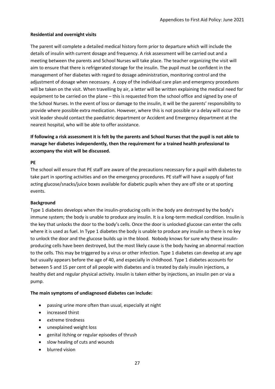#### **Residential and overnight visits**

The parent will complete a detailed medical history form prior to departure which will include the details of insulin with current dosage and frequency. A risk assessment will be carried out and a meeting between the parents and School Nurses will take place. The teacher organizing the visit will aim to ensure that there is refrigerated storage for the insulin. The pupil must be confident in the management of her diabetes with regard to dosage administration, monitoring control and the adjustment of dosage when necessary. A copy of the individual care plan and emergency procedures will be taken on the visit. When travelling by air, a letter will be written explaining the medical need for equipment to be carried on the plane – this is requested from the school office and signed by one of the School Nurses. In the event of loss or damage to the insulin, it will be the parents' responsibility to provide where possible extra medication. However, where this is not possible or a delay will occur the visit leader should contact the paediatric department or Accident and Emergency department at the nearest hospital, who will be able to offer assistance.

**If following a risk assessment it is felt by the parents and School Nurses that the pupil is not able to manage her diabetes independently, then the requirement for a trained health professional to accompany the visit will be discussed.**

#### **PE**

The school will ensure that PE staff are aware of the precautions necessary for a pupil with diabetes to take part in sporting activities and on the emergency procedures. PE staff will have a supply of fast acting glucose/snacks/juice boxes available for diabetic pupils when they are off site or at sporting events.

#### **Background**

Type 1 diabetes develops when the insulin-producing cells in the body are destroyed by the body's immune system; the body is unable to produce any insulin. It is a long-term medical condition. Insulin is the key that unlocks the door to the body's cells. Once the door is unlocked glucose can enter the cells where it is used as fuel. In Type 1 diabetes the body is unable to produce any insulin so there is no key to unlock the door and the glucose builds up in the blood. Nobody knows for sure why these insulinproducing cells have been destroyed, but the most likely cause is the body having an abnormal reaction to the cells. This may be triggered by a virus or other infection. Type 1 diabetes can develop at any age but usually appears before the age of 40, and especially in childhood. Type 1 diabetes accounts for between 5 and 15 per cent of all people with diabetes and is treated by daily insulin injections, a healthy diet and regular physical activity. Insulin is taken either by injections, an insulin pen or via a pump.

#### **The main symptoms of undiagnosed diabetes can include:**

- passing urine more often than usual, especially at night
- increased thirst
- extreme tiredness
- unexplained weight loss
- genital itching or regular episodes of thrush
- slow healing of cuts and wounds
- blurred vision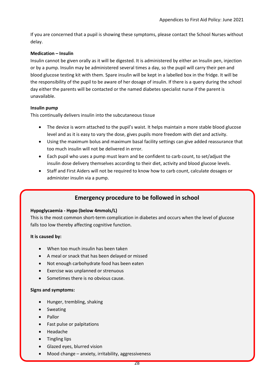If you are concerned that a pupil is showing these symptoms, please contact the School Nurses without delay.

#### **Medication – Insulin**

Insulin cannot be given orally as it will be digested. It is administered by either an Insulin pen, injection or by a pump. Insulin may be administered several times a day, so the pupil will carry their pen and blood glucose testing kit with them. Spare insulin will be kept in a labelled box in the fridge. It will be the responsibility of the pupil to be aware of her dosage of insulin. If there is a query during the school day either the parents will be contacted or the named diabetes specialist nurse if the parent is unavailable.

#### **Insulin pump**

This continually delivers insulin into the subcutaneous tissue

- The device is worn attached to the pupil's waist. It helps maintain a more stable blood glucose level and as it is easy to vary the dose, gives pupils more freedom with diet and activity.
- Using the maximum bolus and maximum basal facility settings can give added reassurance that too much insulin will not be delivered in error.
- Each pupil who uses a pump must learn and be confident to carb count, to set/adjust the insulin dose delivery themselves according to their diet, activity and blood glucose levels.
- Staff and First Aiders will not be required to know how to carb count, calculate dosages or administer insulin via a pump.

# **Emergency procedure to be followed in school**

# **Hypoglycaemia - Hypo (below 4mmols/L)**

This is the most common short-term complication in diabetes and occurs when the level of glucose falls too low thereby affecting cognitive function.

#### **It is caused by:**

- When too much insulin has been taken
- A meal or snack that has been delayed or missed
- Not enough carbohydrate food has been eaten
- Exercise was unplanned or strenuous
- Sometimes there is no obvious cause.

#### **Signs and symptoms:**

- Hunger, trembling, shaking
- **•** Sweating
- Pallor
- Fast pulse or palpitations
- Headache
- Tingling lips
- Glazed eyes, blurred vision
- Mood change anxiety, irritability, aggressiveness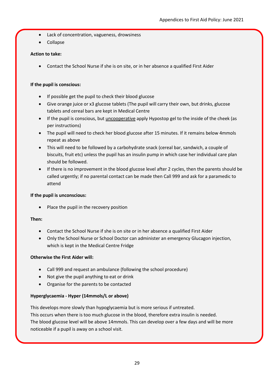- Lack of concentration, vagueness, drowsiness
- Collapse

# **Action to take:**

Contact the School Nurse if she is on site, or in her absence a qualified First Aider

# **If the pupil is conscious:**

- If possible get the pupil to check their blood glucose
- Give orange juice or x3 glucose tablets (The pupil will carry their own, but drinks, glucose tablets and cereal bars are kept in Medical Centre
- If the pupil is conscious, but uncooperative apply Hypostop gel to the inside of the cheek (as per instructions)
- The pupil will need to check her blood glucose after 15 minutes. If it remains below 4mmols repeat as above
- This will need to be followed by a carbohydrate snack (cereal bar, sandwich, a couple of biscuits, fruit etc) unless the pupil has an insulin pump in which case her individual care plan should be followed.
- If there is no improvement in the blood glucose level after 2 cycles, then the parents should be called urgently; if no parental contact can be made then Call 999 and ask for a paramedic to attend

# **If the pupil is unconscious:**

Place the pupil in the recovery position

# **Then:**

- Contact the School Nurse if she is on site or in her absence a qualified First Aider
- Only the School Nurse or School Doctor can administer an emergency Glucagon injection, which is kept in the Medical Centre Fridge

# **Otherwise the First Aider will:**

- Call 999 and request an ambulance (following the school procedure)
- Not give the pupil anything to eat or drink
- Organise for the parents to be contacted

# **Hyperglycaemia - Hyper (14mmols/L or above)**

This develops more slowly than hypoglycaemia but is more serious if untreated. This occurs when there is too much glucose in the blood, therefore extra insulin is needed. The blood glucose level will be above 14mmols. This can develop over a few days and will be more noticeable if a pupil is away on a school visit.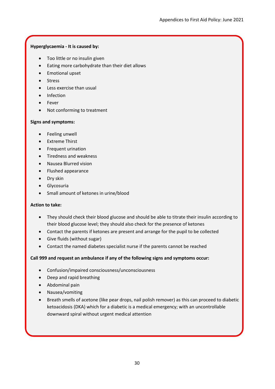# **Hyperglycaemia - It is caused by:**

- Too little or no insulin given
- Eating more carbohydrate than their diet allows
- **•** Emotional upset
- Stress
- Less exercise than usual
- Infection
- Fever
- Not conforming to treatment

# **Signs and symptoms:**

- Feeling unwell
- Extreme Thirst
- **•** Frequent urination
- Tiredness and weakness
- Nausea Blurred vision
- Flushed appearance
- Dry skin
- **•** Glycosuria
- Small amount of ketones in urine/blood

# **Action to take:**

- They should check their blood glucose and should be able to titrate their insulin according to their blood glucose level; they should also check for the presence of ketones
- Contact the parents if ketones are present and arrange for the pupil to be collected
- Give fluids (without sugar)
- Contact the named diabetes specialist nurse if the parents cannot be reached

# **Call 999 and request an ambulance if any of the following signs and symptoms occur:**

- Confusion/impaired consciousness/unconsciousness
- Deep and rapid breathing
- Abdominal pain
- Nausea/vomiting
- Breath smells of acetone (like pear drops, nail polish remover) as this can proceed to diabetic ketoacidosis (DKA) which for a diabetic is a medical emergency; with an uncontrollable downward spiral without urgent medical attention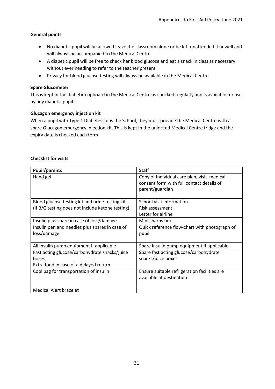# **General points**

- No diabetic pupil will be allowed leave the classroom alone or be left unattended if unwell and will always be accompanied to the Medical Centre
- A diabetic pupil will be free to check her blood glucose and eat a snack in class as necessary without ever needing to refer to the teacher present
- Privacy for blood glucose testing will always be available in the Medical Centre

# **Spare Glucometer**

This is kept in the diabetic cupboard in the Medical Centre; is checked regularly and is available for use by any diabetic pupil

# **Glucagon emergency injection kit**

When a pupil with Type 1 Diabetes joins the School, they must provide the Medical Centre with a spare Glucagon emergency injection kit. This is kept in the unlocked Medical Centre fridge and the expiry date is checked each term

# **Checklist for visits**

| <b>Pupil/parents</b>                             | <b>Staff</b>                                  |
|--------------------------------------------------|-----------------------------------------------|
| Hand gel                                         | Copy of Individual care plan, visit medical   |
|                                                  | consent form with full contact details of     |
|                                                  | parent/guardian                               |
|                                                  |                                               |
| Blood glucose testing kit and urine testing kit  | School visit information                      |
| (if B/G testing does not include ketone testing) | Risk assessment                               |
|                                                  | Letter for airline                            |
| Insulin plus spare in case of loss/damage        | Mini sharps box                               |
| Insulin pen and needles plus spares in case of   | Quick reference flow-chart with photograph of |
| loss/damage                                      | pupil                                         |
|                                                  |                                               |
| All insulin pump equipment if applicable         | Spare insulin pump equipment if applicable    |
| Fast acting glucose/carbohydrate snacks/juice    | Spare fast acting glucose/carbohydrate        |
| boxes                                            | snacks/juice boxes                            |
| Extra food in case of a delayed return           |                                               |
| Cool bag for transportation of insulin           | Ensure suitable refrigeration facilities are  |
|                                                  | available at destination                      |
|                                                  |                                               |
| <b>Medical Alert bracelet</b>                    |                                               |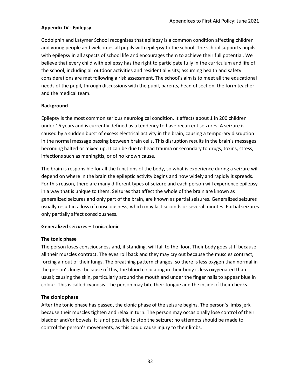# **Appendix IV - Epilepsy**

Godolphin and Latymer School recognizes that epilepsy is a common condition affecting children and young people and welcomes all pupils with epilepsy to the school. The school supports pupils with epilepsy in all aspects of school life and encourages them to achieve their full potential. We believe that every child with epilepsy has the right to participate fully in the curriculum and life of the school, including all outdoor activities and residential visits; assuming health and safety considerations are met following a risk assessment. The school's aim is to meet all the educational needs of the pupil, through discussions with the pupil, parents, head of section, the form teacher and the medical team.

#### **Background**

Epilepsy is the most common serious neurological condition. It affects about 1 in 200 children under 16 years and is currently defined as a tendency to have recurrent seizures. A seizure is caused by a sudden burst of excess electrical activity in the brain, causing a temporary disruption in the normal message passing between brain cells. This disruption results in the brain's messages becoming halted or mixed up. It can be due to head trauma or secondary to drugs, toxins, stress, infections such as meningitis, or of no known cause.

The brain is responsible for all the functions of the body, so what is experience during a seizure will depend on where in the brain the epileptic activity begins and how widely and rapidly it spreads. For this reason, there are many different types of seizure and each person will experience epilepsy in a way that is unique to them. Seizures that affect the whole of the brain are known as generalized seizures and only part of the brain, are known as partial seizures. Generalized seizures usually result in a loss of consciousness, which may last seconds or several minutes. Partial seizures only partially affect consciousness.

#### **Generalized seizures – Tonic-clonic**

#### **The tonic phase**

The person loses consciousness and, if standing, will fall to the floor. Their body goes stiff because all their muscles contract. The eyes roll back and they may cry out because the muscles contract, forcing air out of their lungs. The breathing pattern changes, so there is less oxygen than normal in the person's lungs; because of this, the blood circulating in their body is less oxygenated than usual; causing the skin, particularly around the mouth and under the finger nails to appear blue in colour. This is called cyanosis. The person may bite their tongue and the inside of their cheeks.

# **The clonic phase**

After the tonic phase has passed, the clonic phase of the seizure begins. The person's limbs jerk because their muscles tighten and relax in turn. The person may occasionally lose control of their bladder and/or bowels. It is not possible to stop the seizure; no attempts should be made to control the person's movements, as this could cause injury to their limbs.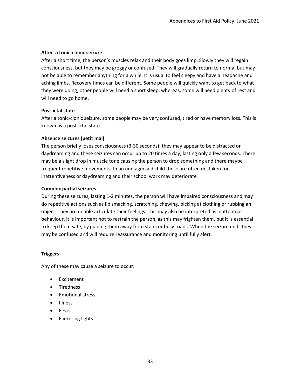#### **After a tonic-clonic seizure**

After a short time, the person's muscles relax and their body goes limp. Slowly they will regain consciousness, but they may be groggy or confused. They will gradually return to normal but may not be able to remember anything for a while. It is usual to feel sleepy and have a headache and aching limbs. Recovery times can be different. Some people will quickly want to get back to what they were doing; other people will need a short sleep, whereas, some will need plenty of rest and will need to go home.

#### **Post-ictal state**

After a tonic-clonic seizure, some people may be very confused, tired or have memory loss. This is known as a post-ictal state.

#### **Absence seizures (petit mal)**

The person briefly loses consciousness (3-30 seconds); they may appear to be distracted or daydreaming and these seizures can occur up to 20 times a day; lasting only a few seconds. There may be a slight drop in muscle tone causing the person to drop something and there maybe frequent repetitive movements. In an undiagnosed child these are often mistaken for inattentiveness or daydreaming and their school work may deteriorate

#### **Complex partial seizures**

During these seizures, lasting 1-2 minutes, the person will have impaired consciousness and may do repetitive actions such as lip smacking, scratching, chewing, picking at clothing or rubbing an object. They are unable articulate their feelings. This may also be interpreted as inattentive behaviour. It is important not to restrain the person, as this may frighten them, but it is essential to keep them safe, by guiding them away from stairs or busy roads. When the seizure ends they may be confused and will require reassurance and monitoring until fully alert.

#### **Triggers**

Any of these may cause a seizure to occur:

- Excitement
- Tiredness
- Emotional stress
- Illness
- Fever
- Flickering lights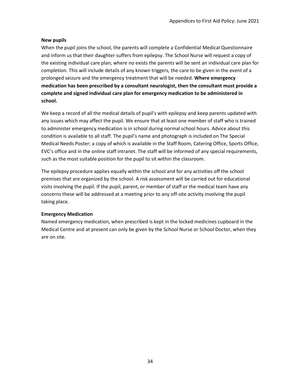# **New pupils**

When the pupil joins the school, the parents will complete a Confidential Medical Questionnaire and inform us that their daughter suffers from epilepsy. The School Nurse will request a copy of the existing individual care plan; where no exists the parents will be sent an individual care plan for completion. This will include details of any known triggers, the care to be given in the event of a prolonged seizure and the emergency treatment that will be needed. **Where emergency medication has been prescribed by a consultant neurologist, then the consultant must provide a complete and signed individual care plan for emergency medication to be administered in school.**

We keep a record of all the medical details of pupil's with epilepsy and keep parents updated with any issues which may affect the pupil. We ensure that at least one member of staff who is trained to administer emergency medication is in school during normal school hours. Advice about this condition is available to all staff. The pupil's name and photograph is included on The Special Medical Needs Poster; a copy of which is available in the Staff Room, Catering Office, Sports Office, EVC's office and in the online staff intranet. The staff will be informed of any special requirements, such as the most suitable position for the pupil to sit within the classroom.

The epilepsy procedure applies equally within the school and for any activities off the school premises that are organized by the school. A risk assessment will be carried out for educational visits involving the pupil. If the pupil, parent, or member of staff or the medical team have any concerns these will be addressed at a meeting prior to any off-site activity involving the pupil taking place.

#### **Emergency Medication**

Named emergency medication, when prescribed is kept in the locked medicines cupboard in the Medical Centre and at present can only be given by the School Nurse or School Doctor, when they are on site.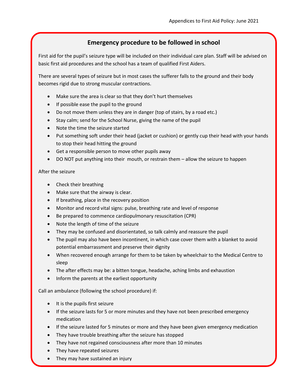# **Emergency procedure to be followed in school**

First aid for the pupil's seizure type will be included on their individual care plan. Staff will be advised on basic first aid procedures and the school has a team of qualified First Aiders.

There are several types of seizure but in most cases the sufferer falls to the ground and their body becomes rigid due to strong muscular contractions.

- Make sure the area is clear so that they don't hurt themselves
- If possible ease the pupil to the ground
- Do not move them unless they are in danger (top of stairs, by a road etc.)
- Stay calm; send for the School Nurse, giving the name of the pupil
- Note the time the seizure started
- Put something soft under their head (jacket or cushion) or gently cup their head with your hands to stop their head hitting the ground
- Get a responsible person to move other pupils away
- DO NOT put anything into their mouth, or restrain them allow the seizure to happen

# After the seizure

- Check their breathing
- Make sure that the airway is clear.
- If breathing, place in the recovery position
- Monitor and record vital signs: pulse, breathing rate and level of response
- Be prepared to commence cardiopulmonary resuscitation (CPR)
- Note the length of time of the seizure
- They may be confused and disorientated, so talk calmly and reassure the pupil
- The pupil may also have been incontinent, in which case cover them with a blanket to avoid potential embarrassment and preserve their dignity
- When recovered enough arrange for them to be taken by wheelchair to the Medical Centre to sleep
- The after effects may be: a bitten tongue, headache, aching limbs and exhaustion
- Inform the parents at the earliest opportunity

Call an ambulance (following the school procedure) if:

- It is the pupils first seizure
- If the seizure lasts for 5 or more minutes and they have not been prescribed emergency medication
- If the seizure lasted for 5 minutes or more and they have been given emergency medication
- They have trouble breathing after the seizure has stopped
- They have not regained consciousness after more than 10 minutes
- They have repeated seizures
- They may have sustained an injury

You are concerned and need assistance.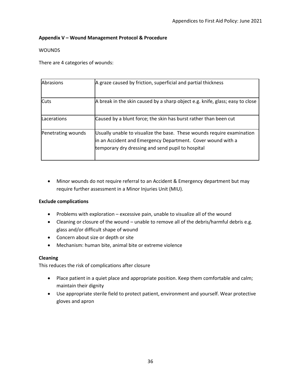# **Appendix V – Wound Management Protocol & Procedure**

# WOUNDS

There are 4 categories of wounds:

| Abrasions          | A graze caused by friction, superficial and partial thickness                                                                                                                              |
|--------------------|--------------------------------------------------------------------------------------------------------------------------------------------------------------------------------------------|
| <b>Cuts</b>        | A break in the skin caused by a sharp object e.g. knife, glass; easy to close                                                                                                              |
| Lacerations        | Caused by a blunt force; the skin has burst rather than been cut                                                                                                                           |
| Penetrating wounds | Usually unable to visualize the base. These wounds require examination<br>in an Accident and Emergency Department. Cover wound with a<br>temporary dry dressing and send pupil to hospital |

 Minor wounds do not require referral to an Accident & Emergency department but may require further assessment in a Minor Injuries Unit (MIU).

# **Exclude complications**

- Problems with exploration excessive pain, unable to visualize all of the wound
- Cleaning or closure of the wound unable to remove all of the debris/harmful debris e.g. glass and/or difficult shape of wound
- Concern about size or depth or site
- Mechanism: human bite, animal bite or extreme violence

#### **Cleaning**

This reduces the risk of complications after closure

- Place patient in a quiet place and appropriate position. Keep them comfortable and calm; maintain their dignity
- Use appropriate sterile field to protect patient, environment and yourself. Wear protective gloves and apron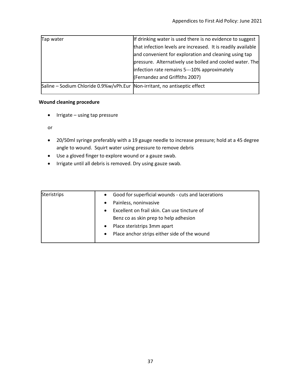| Tap water                                                                 | If drinking water is used there is no evidence to suggest    |
|---------------------------------------------------------------------------|--------------------------------------------------------------|
|                                                                           | that infection levels are increased. It is readily available |
|                                                                           | and convenient for exploration and cleaning using tap        |
|                                                                           | pressure. Alternatively use boiled and cooled water. The     |
|                                                                           | infection rate remains 5---10% approximately                 |
|                                                                           | (Fernandez and Griffiths 2007)                               |
| Saline – Sodium Chloride 0.9%w/vPh.Eur Non-irritant, no antiseptic effect |                                                              |

# **Wound cleaning procedure**

 $\bullet$  Irrigate – using tap pressure

or

- 20/50ml syringe preferably with a 19 gauge needle to increase pressure; hold at a 45 degree angle to wound. Squirt water using pressure to remove debris
- Use a gloved finger to explore wound or a gauze swab.
- Irrigate until all debris is removed. Dry using gauze swab.

| <b>Steristrips</b> | $\bullet$ | Good for superficial wounds - cuts and lacerations |
|--------------------|-----------|----------------------------------------------------|
|                    |           | Painless, noninvasive                              |
|                    | $\bullet$ | Excellent on frail skin. Can use tincture of       |
|                    |           | Benz co as skin prep to help adhesion              |
|                    |           | Place steristrips 3mm apart                        |
|                    | $\bullet$ | Place anchor strips either side of the wound       |
|                    |           |                                                    |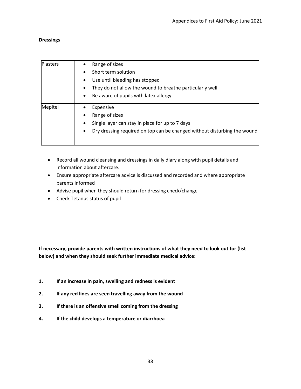# **Dressings**

| <b>Plasters</b> | Range of sizes                                                           |
|-----------------|--------------------------------------------------------------------------|
|                 | Short term solution                                                      |
|                 | Use until bleeding has stopped                                           |
|                 | They do not allow the wound to breathe particularly well                 |
|                 | Be aware of pupils with latex allergy                                    |
| Mepitel         | Expensive                                                                |
|                 | Range of sizes                                                           |
|                 | Single layer can stay in place for up to 7 days                          |
|                 | Dry dressing required on top can be changed without disturbing the wound |
|                 |                                                                          |

- Record all wound cleansing and dressings in daily diary along with pupil details and information about aftercare.
- Ensure appropriate aftercare advice is discussed and recorded and where appropriate parents informed
- Advise pupil when they should return for dressing check/change
- Check Tetanus status of pupil

**If necessary, provide parents with written instructions of what they need to look out for (list below) and when they should seek further immediate medical advice:**

- **1. If an increase in pain, swelling and redness is evident**
- **2. If any red lines are seen travelling away from the wound**
- **3. If there is an offensive smell coming from the dressing**
- **4. If the child develops a temperature or diarrhoea**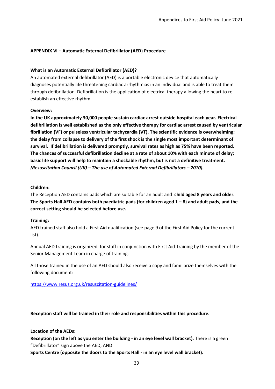# **APPENDIX VI – Automatic External Defibrillator (AED) Procedure**

# **What is an Automatic External Defibrillator (AED)?**

An automated external defibrillator (AED) is a portable electronic device that automatically diagnoses potentially life threatening cardiac arrhythmias in an individual and is able to treat them through defibrillation. Defibrillation is the application of electrical therapy allowing the heart to reestablish an effective rhythm.

# **Overview:**

**In the UK approximately 30,000 people sustain cardiac arrest outside hospital each year. Electrical defibrillation is well established as the only effective therapy for cardiac arrest caused by ventricular fibrillation (VF) or pulseless ventricular tachycardia (VT). The scientific evidence is overwhelming; the delay from collapse to delivery of the first shock is the single most important determinant of survival. If defibrillation is delivered promptly, survival rates as high as 75% have been reported. The chances of successful defibrillation decline at a rate of about 10% with each minute of delay; basic life support will help to maintain a shockable rhythm, but is not a definitive treatment.**  *(Resuscitation Council (UK) – The use of Automated External Defibrillators – 2010).*

# **Children:**

The Reception AED contains pads which are suitable for an adult and **child aged 8 years and older. The Sports Hall AED contains both paediatric pads (for children aged 1 – 8) and adult pads, and the correct setting should be selected before use.**

# **Training:**

AED trained staff also hold a First Aid qualification (see page 9 of the First Aid Policy for the current list).

Annual AED training is organized for staff in conjunction with First Aid Training by the member of the Senior Management Team in charge of training.

All those trained in the use of an AED should also receive a copy and familiarize themselves with the following document:

<https://www.resus.org.uk/resuscitation-guidelines/>

**Reception staff will be trained in their role and responsibilities within this procedure.**

# **Location of the AEDs:**

**Reception (on the left as you enter the building - in an eye level wall bracket).** There is a green "Defibrillator" sign above the AED; AND

**Sports Centre (opposite the doors to the Sports Hall - in an eye level wall bracket).**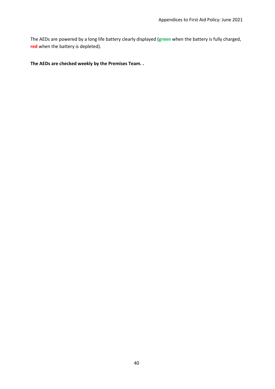The AEDs are powered by a long life battery clearly displayed (**green** when the battery is fully charged, **red** when the battery is depleted).

#### **The AEDs are checked weekly by the Premises Team. .**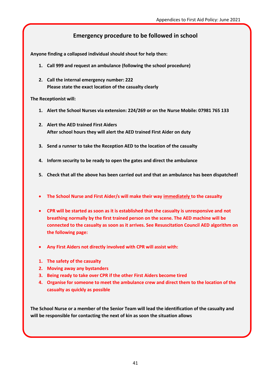# **Emergency procedure to be followed in school**

**Anyone finding a collapsed individual should shout for help then:**

- **1. Call 999 and request an ambulance (following the school procedure)**
- **2. Call the internal emergency number: 222 Please state the exact location of the casualty clearly**

**The Receptionist will:**

- **1. Alert the School Nurses via extension: 224/269 or on the Nurse Mobile: 07981 765 133**
- **2. Alert the AED trained First Aiders After school hours they will alert the AED trained First Aider on duty**
- **3. Send a runner to take the Reception AED to the location of the casualty**
- **4. Inform security to be ready to open the gates and direct the ambulance**
- **5. Check that all the above has been carried out and that an ambulance has been dispatched!**
- **The School Nurse and First Aider/s will make their way immediately to the casualty**
- **CPR will be started as soon as it is established that the casualty is unresponsive and not breathing normally by the first trained person on the scene. The AED machine will be connected to the casualty as soon as it arrives. See Resuscitation Council AED algorithm on the following page:**
- **Any First Aiders not directly involved with CPR will assist with:**
- **1. The safety of the casualty**
- **2. Moving away any bystanders**
- **3. Being ready to take over CPR if the other First Aiders become tired**
- **4. Organise for someone to meet the ambulance crew and direct them to the location of the casualty as quickly as possible**

**The School Nurse or a member of the Senior Team will lead the identification of the casualty and will be responsible for contacting the next of kin as soon the situation allows**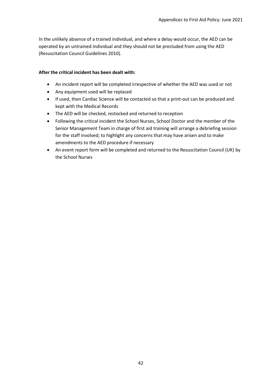In the unlikely absence of a trained individual, and where a delay would occur, the AED can be operated by an untrained individual and they should not be precluded from using the AED (Resuscitation Council Guidelines 2010).

#### **After the critical incident has been dealt with:**

- An incident report will be completed irrespective of whether the AED was used or not
- Any equipment used will be replaced
- If used, then Cardiac Science will be contacted so that a print-out can be produced and kept with the Medical Records
- The AED will be checked, restocked and returned to reception
- Following the critical incident the School Nurses, School Doctor and the member of the Senior Management Team in charge of first aid training will arrange a debriefing session for the staff involved; to highlight any concerns that may have arisen and to make amendments to the AED procedure if necessary
- An event report form will be completed and returned to the Resuscitation Council (UK) by the School Nurses